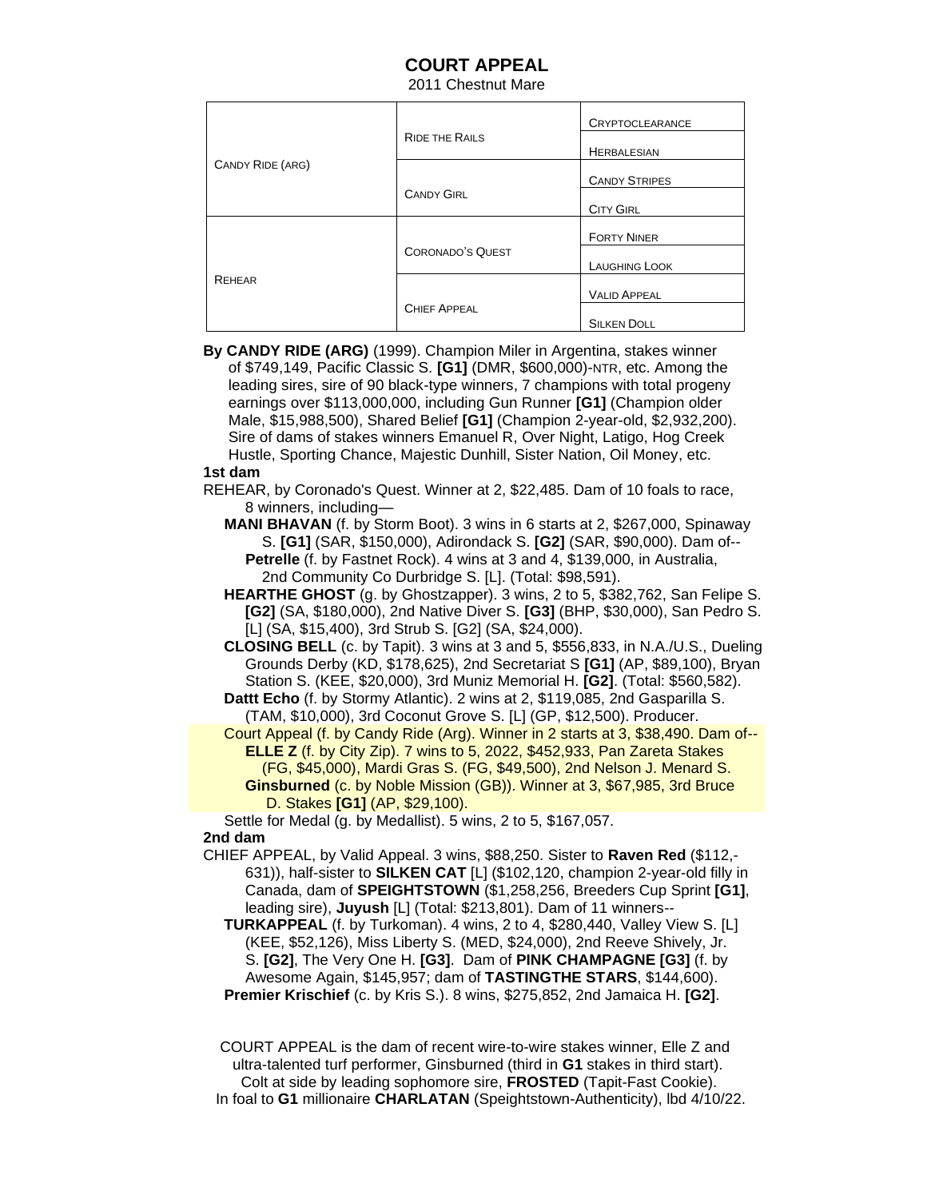## **COURT APPEAL**

2011 Chestnut Mare

| CANDY RIDE (ARG) | <b>RIDE THE RAILS</b>   | <b>CRYPTOCLEARANCE</b> |
|------------------|-------------------------|------------------------|
|                  |                         | <b>HERBALESIAN</b>     |
|                  |                         | <b>CANDY STRIPES</b>   |
|                  | <b>CANDY GIRL</b>       | <b>CITY GIRL</b>       |
| <b>REHEAR</b>    | <b>CORONADO'S QUEST</b> | <b>FORTY NINER</b>     |
|                  |                         | <b>LAUGHING LOOK</b>   |
|                  |                         | <b>VALID APPEAL</b>    |
|                  | <b>CHIEF APPEAL</b>     | <b>SILKEN DOLL</b>     |

 **By CANDY RIDE (ARG)** (1999). Champion Miler in Argentina, stakes winner of \$749,149, Pacific Classic S. **[G1]** (DMR, \$600,000)-NTR, etc. Among the leading sires, sire of 90 black-type winners, 7 champions with total progeny earnings over \$113,000,000, including Gun Runner **[G1]** (Champion older Male, \$15,988,500), Shared Belief **[G1]** (Champion 2-year-old, \$2,932,200). Sire of dams of stakes winners Emanuel R, Over Night, Latigo, Hog Creek Hustle, Sporting Chance, Majestic Dunhill, Sister Nation, Oil Money, etc.  **1st dam**

 REHEAR, by Coronado's Quest. Winner at 2, \$22,485. Dam of 10 foals to race, 8 winners, including—

 **MANI BHAVAN** (f. by Storm Boot). 3 wins in 6 starts at 2, \$267,000, Spinaway S. **[G1]** (SAR, \$150,000), Adirondack S. **[G2]** (SAR, \$90,000). Dam of-- **Petrelle** (f. by Fastnet Rock). 4 wins at 3 and 4, \$139,000, in Australia, 2nd Community Co Durbridge S. [L]. (Total: \$98,591).

 **HEARTHE GHOST** (g. by Ghostzapper). 3 wins, 2 to 5, \$382,762, San Felipe S. **[G2]** (SA, \$180,000), 2nd Native Diver S. **[G3]** (BHP, \$30,000), San Pedro S. [L] (SA, \$15,400), 3rd Strub S. [G2] (SA, \$24,000).

 **CLOSING BELL** (c. by Tapit). 3 wins at 3 and 5, \$556,833, in N.A./U.S., Dueling Grounds Derby (KD, \$178,625), 2nd Secretariat S **[G1]** (AP, \$89,100), Bryan Station S. (KEE, \$20,000), 3rd Muniz Memorial H. **[G2]**. (Total: \$560,582).

 **Dattt Echo** (f. by Stormy Atlantic). 2 wins at 2, \$119,085, 2nd Gasparilla S. (TAM, \$10,000), 3rd Coconut Grove S. [L] (GP, \$12,500). Producer.

 Court Appeal (f. by Candy Ride (Arg). Winner in 2 starts at 3, \$38,490. Dam of-- **ELLE Z** (f. by City Zip). 7 wins to 5, 2022, \$452,933, Pan Zareta Stakes (FG, \$45,000), Mardi Gras S. (FG, \$49,500), 2nd Nelson J. Menard S. **Ginsburned** (c. by Noble Mission (GB)). Winner at 3, \$67,985, 3rd Bruce D. Stakes **[G1]** (AP, \$29,100).

Settle for Medal (g. by Medallist). 5 wins, 2 to 5, \$167,057.

## **2nd dam**

 CHIEF APPEAL, by Valid Appeal. 3 wins, \$88,250. Sister to **Raven Red** (\$112,- 631)), half-sister to **SILKEN CAT** [L] (\$102,120, champion 2-year-old filly in Canada, dam of **SPEIGHTSTOWN** (\$1,258,256, Breeders Cup Sprint **[G1]**, leading sire), **Juyush** [L] (Total: \$213,801). Dam of 11 winners--

 **TURKAPPEAL** (f. by Turkoman). 4 wins, 2 to 4, \$280,440, Valley View S. [L] (KEE, \$52,126), Miss Liberty S. (MED, \$24,000), 2nd Reeve Shively, Jr. S. **[G2]**, The Very One H. **[G3]**. Dam of **PINK CHAMPAGNE [G3]** (f. by Awesome Again, \$145,957; dam of **TASTINGTHE STARS**, \$144,600).

**Premier Krischief** (c. by Kris S.). 8 wins, \$275,852, 2nd Jamaica H. **[G2]**.

 COURT APPEAL is the dam of recent wire-to-wire stakes winner, Elle Z and ultra-talented turf performer, Ginsburned (third in **G1** stakes in third start). Colt at side by leading sophomore sire, **FROSTED** (Tapit-Fast Cookie). In foal to **G1** millionaire **CHARLATAN** (Speightstown-Authenticity), lbd 4/10/22.